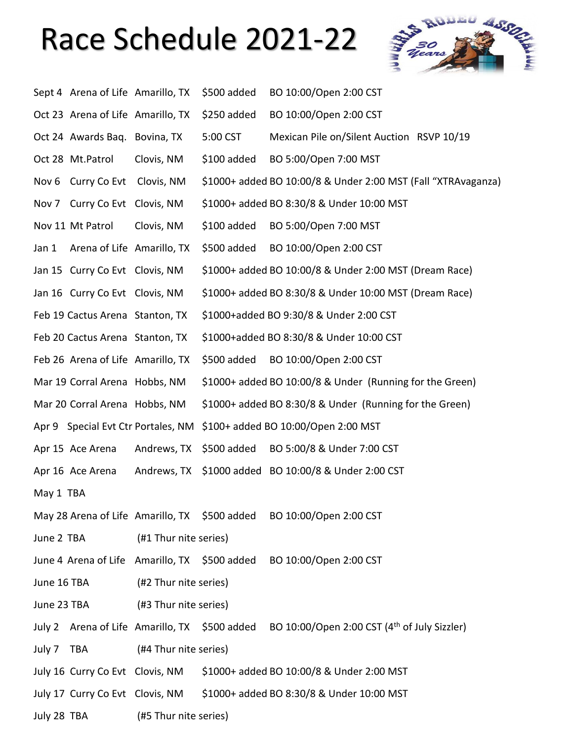## Race Schedule 2021-22



|             | Sept 4 Arena of Life Amarillo, TX |                                    | \$500 added | BO 10:00/Open 2:00 CST                                                                                 |
|-------------|-----------------------------------|------------------------------------|-------------|--------------------------------------------------------------------------------------------------------|
|             | Oct 23 Arena of Life Amarillo, TX |                                    | \$250 added | BO 10:00/Open 2:00 CST                                                                                 |
|             | Oct 24 Awards Baq. Bovina, TX     |                                    | 5:00 CST    | Mexican Pile on/Silent Auction RSVP 10/19                                                              |
|             | Oct 28 Mt.Patrol                  | Clovis, NM                         | \$100 added | BO 5:00/Open 7:00 MST                                                                                  |
|             | Nov 6 Curry Co Evt Clovis, NM     |                                    |             | \$1000+ added BO 10:00/8 & Under 2:00 MST (Fall "XTRAvaganza)                                          |
|             | Nov 7 Curry Co Evt Clovis, NM     |                                    |             | \$1000+ added BO 8:30/8 & Under 10:00 MST                                                              |
|             | Nov 11 Mt Patrol                  | Clovis, NM                         | \$100 added | BO 5:00/Open 7:00 MST                                                                                  |
| Jan 1       | Arena of Life Amarillo, TX        |                                    | \$500 added | BO 10:00/Open 2:00 CST                                                                                 |
|             | Jan 15 Curry Co Evt Clovis, NM    |                                    |             | \$1000+ added BO 10:00/8 & Under 2:00 MST (Dream Race)                                                 |
|             | Jan 16 Curry Co Evt Clovis, NM    |                                    |             | \$1000+ added BO 8:30/8 & Under 10:00 MST (Dream Race)                                                 |
|             | Feb 19 Cactus Arena Stanton, TX   |                                    |             | \$1000+added BO 9:30/8 & Under 2:00 CST                                                                |
|             | Feb 20 Cactus Arena Stanton, TX   |                                    |             | \$1000+added BO 8:30/8 & Under 10:00 CST                                                               |
|             | Feb 26 Arena of Life Amarillo, TX |                                    | \$500 added | BO 10:00/Open 2:00 CST                                                                                 |
|             | Mar 19 Corral Arena Hobbs, NM     |                                    |             | \$1000+ added BO 10:00/8 & Under (Running for the Green)                                               |
|             | Mar 20 Corral Arena Hobbs, NM     |                                    |             | \$1000+ added BO 8:30/8 & Under (Running for the Green)                                                |
|             |                                   | Apr 9 Special Evt Ctr Portales, NM |             | \$100+ added BO 10:00/Open 2:00 MST                                                                    |
|             | Apr 15 Ace Arena                  | Andrews, TX                        | \$500 added | BO 5:00/8 & Under 7:00 CST                                                                             |
|             | Apr 16 Ace Arena                  | Andrews, TX                        |             | \$1000 added BO 10:00/8 & Under 2:00 CST                                                               |
| May 1 TBA   |                                   |                                    |             |                                                                                                        |
|             |                                   |                                    |             | May 28 Arena of Life Amarillo, TX \$500 added BO 10:00/Open 2:00 CST                                   |
|             | June 2 TBA                        | (#1 Thur nite series)              |             |                                                                                                        |
|             |                                   |                                    |             | June 4 Arena of Life Amarillo, TX \$500 added BO 10:00/Open 2:00 CST                                   |
| June 16 TBA |                                   | (#2 Thur nite series)              |             |                                                                                                        |
|             | June 23 TBA                       | (#3 Thur nite series)              |             |                                                                                                        |
|             |                                   |                                    |             | July 2 Arena of Life Amarillo, TX \$500 added BO 10:00/Open 2:00 CST (4 <sup>th</sup> of July Sizzler) |
| July 7 TBA  |                                   | (#4 Thur nite series)              |             |                                                                                                        |
|             |                                   |                                    |             | July 16 Curry Co Evt Clovis, NM \$1000+ added BO 10:00/8 & Under 2:00 MST                              |
|             |                                   |                                    |             | July 17 Curry Co Evt Clovis, NM \$1000+ added BO 8:30/8 & Under 10:00 MST                              |
| July 28 TBA |                                   | (#5 Thur nite series)              |             |                                                                                                        |